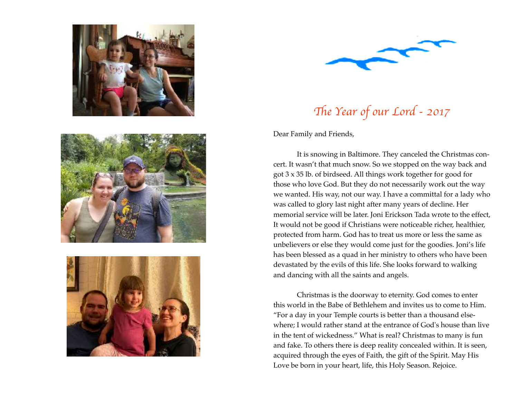







Th*e Year of our Lord - 2017* 

Dear Family and Friends,

It is snowing in Baltimore. They canceled the Christmas concert. It wasn't that much snow. So we stopped on the way back and got 3 x 35 lb. of birdseed. All things work together for good for those who love God. But they do not necessarily work out the way we wanted. His way, not our way. I have a committal for a lady who was called to glory last night after many years of decline. Her memorial service will be later. Joni Erickson Tada wrote to the effect, It would not be good if Christians were noticeable richer, healthier, protected from harm. God has to treat us more or less the same as unbelievers or else they would come just for the goodies. Joni's life has been blessed as a quad in her ministry to others who have been devastated by the evils of this life. She looks forward to walking and dancing with all the saints and angels.

Christmas is the doorway to eternity. God comes to enter this world in the Babe of Bethlehem and invites us to come to Him. "For a day in your Temple courts is better than a thousand elsewhere; I would rather stand at the entrance of God's house than live in the tent of wickedness." What is real? Christmas to many is fun and fake. To others there is deep reality concealed within. It is seen, acquired through the eyes of Faith, the gift of the Spirit. May His Love be born in your heart, life, this Holy Season. Rejoice.